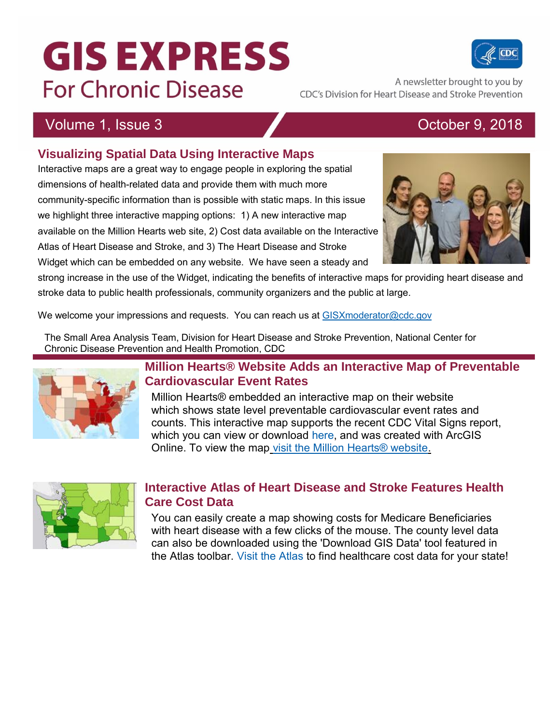# **GIS EXPRESS For Chronic Disease**

A newsletter brought to you by CDC's Division for Heart Disease and Stroke Prevention

## Volume 1, Issue 3 **October 9, 2018**

### **Visualizing Spatial Data Using Interactive Maps**

Interactive maps are a great way to engage people in exploring the spatial dimensions of health-related data and provide them with much more community-specific information than is possible with static maps. In this issue we highlight three interactive mapping options: 1) A new interactive map available on the Million Hearts web site, 2) Cost data available on the Interactive Atlas of Heart Disease and Stroke, and 3) The Heart Disease and Stroke

Widget which can be embedded on any website. We have seen a steady and

strong increase in the use of the Widget, indicating the benefits of interactive maps for providing heart disease and stroke data to public health professionals, community organizers and the public at large.

We welcome your impressions and requests. You can reach us at [GISXmoderator@cdc.gov](mailto:GISXmoderator@cdc.gov)

The Small Area Analysis Team, Division for Heart Disease and Stroke Prevention, National Center for Chronic Disease Prevention and Health Promotion, CDC



#### **Million Hearts® Website Adds an Interactive Map of Preventable Cardiovascular Event Rates**

Million Hearts® embedded an interactive map on their website which shows state level preventable cardiovascular event rates and counts. This interactive map supports the recent CDC Vital Signs report, which you can view or download [here,](https://www.cdc.gov/mmwr/volumes/67/wr/mm6735a4.htm?s_cid=mm6735a4_w) and was created with ArcGIS Online. To view the map [visit the Million Hearts® website.](https://millionhearts.hhs.gov/data-reports/data.html)



#### **Interactive Atlas of Heart Disease and Stroke Features Health Care Cost Data**

You can easily create a map showing costs for Medicare Beneficiaries with heart disease with a few clicks of the mouse. The county level data can also be downloaded using the 'Download GIS Data' tool featured in the Atlas toolbar. [Visit the Atlas](http://links.govdelivery.com/track?type=click&enid=ZWFzPTEmbWFpbGluZ2lkPTIwMTgxMDA5Ljk1OTg1ODcxJm1lc3NhZ2VpZD1NREItUFJELUJVTC0yMDE4MTAwOS45NTk4NTg3MSZkYXRhYmFzZWlkPTEwMDEmc2VyaWFsPTE3MjExMDA4JmVtYWlsaWQ9amFuZXQud3JpZ2h0QGNtcy5oaHMuZ292JnVzZXJpZD1qYW5ldC53cmlnaHRAY21zLmhocy5nb3YmZmw9JmV4dHJhPU11bHRpdmFyaWF0ZUlkPSYmJg==&&&103&&&http://tinyurl.com/y743f9t8) to find healthcare cost data for your state!



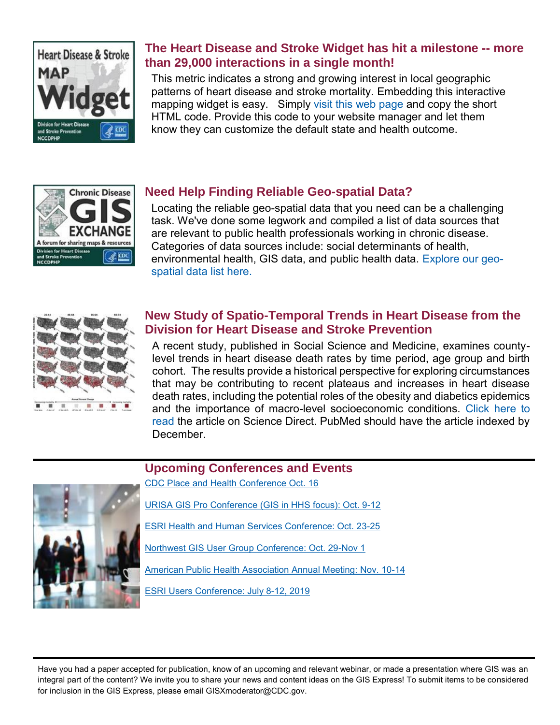

#### **The Heart Disease and Stroke Widget has hit a milestone -- more than 29,000 interactions in a single month!**

This metric indicates a strong and growing interest in local geographic patterns of heart disease and stroke mortality. Embedding this interactive mapping widget is easy. Simply [visit this web page](http://links.govdelivery.com/track?type=click&enid=ZWFzPTEmbWFpbGluZ2lkPTIwMTgxMDA5Ljk1OTg1ODcxJm1lc3NhZ2VpZD1NREItUFJELUJVTC0yMDE4MTAwOS45NTk4NTg3MSZkYXRhYmFzZWlkPTEwMDEmc2VyaWFsPTE3MjExMDA4JmVtYWlsaWQ9amFuZXQud3JpZ2h0QGNtcy5oaHMuZ292JnVzZXJpZD1qYW5ldC53cmlnaHRAY21zLmhocy5nb3YmZmw9JmV4dHJhPU11bHRpdmFyaWF0ZUlkPSYmJg==&&&104&&&https://www.cdc.gov/dhdsp/maps/hds-widget.htm) and copy the short HTML code. Provide this code to your website manager and let them know they can customize the default state and health outcome.



#### **Need Help Finding Reliable Geo-spatial Data?**

Locating the reliable geo-spatial data that you need can be a challenging task. We've done some legwork and compiled a list of data sources that are relevant to public health professionals working in chronic disease. Categories of data sources include: social determinants of health, environmental health, GIS data, and public health data. [Explore our geo](http://links.govdelivery.com/track?type=click&enid=ZWFzPTEmbWFpbGluZ2lkPTIwMTgxMDA5Ljk1OTg1ODcxJm1lc3NhZ2VpZD1NREItUFJELUJVTC0yMDE4MTAwOS45NTk4NTg3MSZkYXRhYmFzZWlkPTEwMDEmc2VyaWFsPTE3MjExMDA4JmVtYWlsaWQ9amFuZXQud3JpZ2h0QGNtcy5oaHMuZ292JnVzZXJpZD1qYW5ldC53cmlnaHRAY21zLmhocy5nb3YmZmw9JmV4dHJhPU11bHRpdmFyaWF0ZUlkPSYmJg==&&&105&&&https://www.cdc.gov/dhdsp/maps/gisx/resources/geo-spatial-data.html)[spatial data list here.](http://links.govdelivery.com/track?type=click&enid=ZWFzPTEmbWFpbGluZ2lkPTIwMTgxMDA5Ljk1OTg1ODcxJm1lc3NhZ2VpZD1NREItUFJELUJVTC0yMDE4MTAwOS45NTk4NTg3MSZkYXRhYmFzZWlkPTEwMDEmc2VyaWFsPTE3MjExMDA4JmVtYWlsaWQ9amFuZXQud3JpZ2h0QGNtcy5oaHMuZ292JnVzZXJpZD1qYW5ldC53cmlnaHRAY21zLmhocy5nb3YmZmw9JmV4dHJhPU11bHRpdmFyaWF0ZUlkPSYmJg==&&&105&&&https://www.cdc.gov/dhdsp/maps/gisx/resources/geo-spatial-data.html)



#### **New Study of Spatio-Temporal Trends in Heart Disease from the Division for Heart Disease and Stroke Prevention**

A recent study, published in Social Science and Medicine, examines countylevel trends in heart disease death rates by time period, age group and birth cohort. The results provide a historical perspective for exploring circumstances that may be contributing to recent plateaus and increases in heart disease death rates, including the potential roles of the obesity and diabetics epidemics and the importance of macro-level socioeconomic conditions. [Click here to](http://links.govdelivery.com/track?type=click&enid=ZWFzPTEmbWFpbGluZ2lkPTIwMTgxMDA5Ljk1OTg1ODcxJm1lc3NhZ2VpZD1NREItUFJELUJVTC0yMDE4MTAwOS45NTk4NTg3MSZkYXRhYmFzZWlkPTEwMDEmc2VyaWFsPTE3MjExMDA4JmVtYWlsaWQ9amFuZXQud3JpZ2h0QGNtcy5oaHMuZ292JnVzZXJpZD1qYW5ldC53cmlnaHRAY21zLmhocy5nb3YmZmw9JmV4dHJhPU11bHRpdmFyaWF0ZUlkPSYmJg==&&&106&&&https://www.sciencedirect.com/science/article/pii/S0277953618305410)  [read](http://links.govdelivery.com/track?type=click&enid=ZWFzPTEmbWFpbGluZ2lkPTIwMTgxMDA5Ljk1OTg1ODcxJm1lc3NhZ2VpZD1NREItUFJELUJVTC0yMDE4MTAwOS45NTk4NTg3MSZkYXRhYmFzZWlkPTEwMDEmc2VyaWFsPTE3MjExMDA4JmVtYWlsaWQ9amFuZXQud3JpZ2h0QGNtcy5oaHMuZ292JnVzZXJpZD1qYW5ldC53cmlnaHRAY21zLmhocy5nb3YmZmw9JmV4dHJhPU11bHRpdmFyaWF0ZUlkPSYmJg==&&&106&&&https://www.sciencedirect.com/science/article/pii/S0277953618305410) the article on Science Direct. PubMed should have the article indexed by December.



**Upcoming Conferences and Events**

[CDC Place and Health Conference Oct. 16](http://links.govdelivery.com/track?type=click&enid=ZWFzPTEmbWFpbGluZ2lkPTIwMTgxMDA5Ljk1OTg1ODcxJm1lc3NhZ2VpZD1NREItUFJELUJVTC0yMDE4MTAwOS45NTk4NTg3MSZkYXRhYmFzZWlkPTEwMDEmc2VyaWFsPTE3MjExMDA4JmVtYWlsaWQ9amFuZXQud3JpZ2h0QGNtcy5oaHMuZ292JnVzZXJpZD1qYW5ldC53cmlnaHRAY21zLmhocy5nb3YmZmw9JmV4dHJhPU11bHRpdmFyaWF0ZUlkPSYmJg==&&&108&&&http://www.surveymonkey.com/r/2018pah)

[URISA GIS Pro Conference \(GIS in HHS focus\): Oct. 9-12](http://links.govdelivery.com/track?type=click&enid=ZWFzPTEmbWFpbGluZ2lkPTIwMTgxMDA5Ljk1OTg1ODcxJm1lc3NhZ2VpZD1NREItUFJELUJVTC0yMDE4MTAwOS45NTk4NTg3MSZkYXRhYmFzZWlkPTEwMDEmc2VyaWFsPTE3MjExMDA4JmVtYWlsaWQ9amFuZXQud3JpZ2h0QGNtcy5oaHMuZ292JnVzZXJpZD1qYW5ldC53cmlnaHRAY21zLmhocy5nb3YmZmw9JmV4dHJhPU11bHRpdmFyaWF0ZUlkPSYmJg==&&&109&&&http://www.urisa.org/education-events/gis-pro-2016-urisa-s-54th-annual-conference/)

[ESRI Health and Human Services Conference: Oct. 23-25](http://links.govdelivery.com/track?type=click&enid=ZWFzPTEmbWFpbGluZ2lkPTIwMTgxMDA5Ljk1OTg1ODcxJm1lc3NhZ2VpZD1NREItUFJELUJVTC0yMDE4MTAwOS45NTk4NTg3MSZkYXRhYmFzZWlkPTEwMDEmc2VyaWFsPTE3MjExMDA4JmVtYWlsaWQ9amFuZXQud3JpZ2h0QGNtcy5oaHMuZ292JnVzZXJpZD1qYW5ldC53cmlnaHRAY21zLmhocy5nb3YmZmw9JmV4dHJhPU11bHRpdmFyaWF0ZUlkPSYmJg==&&&110&&&http://www.esri.com/events/health)

[Northwest GIS User Group Conference: Oct. 29-Nov 1](http://links.govdelivery.com/track?type=click&enid=ZWFzPTEmbWFpbGluZ2lkPTIwMTgxMDA5Ljk1OTg1ODcxJm1lc3NhZ2VpZD1NREItUFJELUJVTC0yMDE4MTAwOS45NTk4NTg3MSZkYXRhYmFzZWlkPTEwMDEmc2VyaWFsPTE3MjExMDA4JmVtYWlsaWQ9amFuZXQud3JpZ2h0QGNtcy5oaHMuZ292JnVzZXJpZD1qYW5ldC53cmlnaHRAY21zLmhocy5nb3YmZmw9JmV4dHJhPU11bHRpdmFyaWF0ZUlkPSYmJg==&&&111&&&https://www.nwgis.org/)

[American Public Health Association Annual Meeting: Nov. 10-14](http://links.govdelivery.com/track?type=click&enid=ZWFzPTEmbWFpbGluZ2lkPTIwMTgxMDA5Ljk1OTg1ODcxJm1lc3NhZ2VpZD1NREItUFJELUJVTC0yMDE4MTAwOS45NTk4NTg3MSZkYXRhYmFzZWlkPTEwMDEmc2VyaWFsPTE3MjExMDA4JmVtYWlsaWQ9amFuZXQud3JpZ2h0QGNtcy5oaHMuZ292JnVzZXJpZD1qYW5ldC53cmlnaHRAY21zLmhocy5nb3YmZmw9JmV4dHJhPU11bHRpdmFyaWF0ZUlkPSYmJg==&&&112&&&https://www.apha.org/events-and-meetings/annual)

[ESRI Users Conference: July 8-12, 2019](http://links.govdelivery.com/track?type=click&enid=ZWFzPTEmbWFpbGluZ2lkPTIwMTgxMDA5Ljk1OTg1ODcxJm1lc3NhZ2VpZD1NREItUFJELUJVTC0yMDE4MTAwOS45NTk4NTg3MSZkYXRhYmFzZWlkPTEwMDEmc2VyaWFsPTE3MjExMDA4JmVtYWlsaWQ9amFuZXQud3JpZ2h0QGNtcy5oaHMuZ292JnVzZXJpZD1qYW5ldC53cmlnaHRAY21zLmhocy5nb3YmZmw9JmV4dHJhPU11bHRpdmFyaWF0ZUlkPSYmJg==&&&113&&&https://www.esri.com/en-us/about/events/uc/overview)

Have you had a paper accepted for publication, know of an upcoming and relevant webinar, or made a presentation where GIS was an integral part of the content? We invite you to share your news and content ideas on the GIS Express! To submit items to be considered for inclusion in the GIS Express, please email [GISXmoderator@CDC.gov.](mailto:GISXmoderator@CDC.gov)